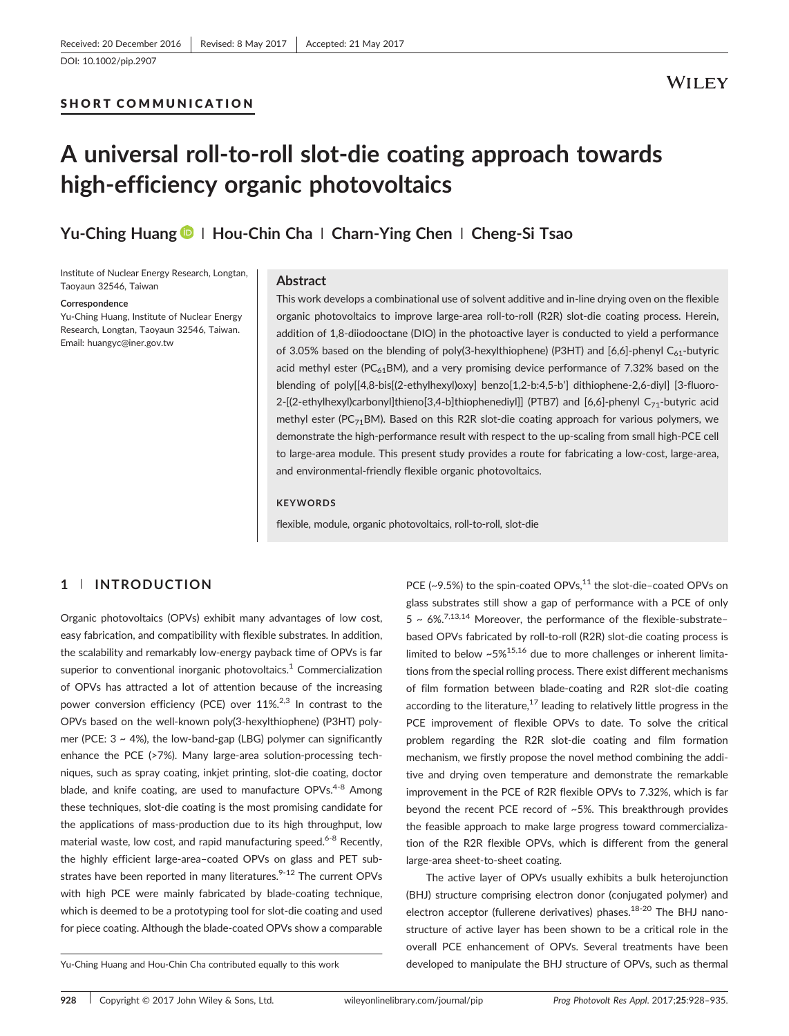[DOI: 10.1002/pip.2907](https://doi.org/10.1002/pip.2907)

## SHORT COMMUNICATION

## **WILEY**

# A universal roll‐to‐roll slot‐die coating approach towards high‐efficiency organic photovoltaics

Yu-Ching Huang D | Hou-Chin Cha | Charn-Ying Chen | Cheng-Si Tsao

Institute of Nuclear Energy Research, Longtan, Taoyaun 32546, Taiwan

#### **Correspondence**

Yu‐Ching Huang, Institute of Nuclear Energy Research, Longtan, Taoyaun 32546, Taiwan. Email: [huangyc@iner.gov.tw](mailto:huangyc@iner.gov.tw)

#### Abstract

This work develops a combinational use of solvent additive and in‐line drying oven on the flexible organic photovoltaics to improve large‐area roll‐to‐roll (R2R) slot‐die coating process. Herein, addition of 1,8‐diiodooctane (DIO) in the photoactive layer is conducted to yield a performance of 3.05% based on the blending of poly(3-hexylthiophene) (P3HT) and [6,6]-phenyl  $C_{61}$ -butyric acid methyl ester (PC $_{61}$ BM), and a very promising device performance of 7.32% based on the blending of poly[[4,8‐bis[(2‐ethylhexyl)oxy] benzo[1,2‐b:4,5‐b'] dithiophene‐2,6‐diyl] [3‐fluoro‐ 2-[(2-ethylhexyl)carbonyl]thieno[3,4-b]thiophenediyl]] (PTB7) and [6,6]-phenyl C<sub>71</sub>-butyric acid methyl ester (PC $_{71}$ BM). Based on this R2R slot-die coating approach for various polymers, we demonstrate the high‐performance result with respect to the up‐scaling from small high‐PCE cell to large-area module. This present study provides a route for fabricating a low-cost, large-area, and environmental‐friendly flexible organic photovoltaics.

#### **KEYWORDS**

flexible, module, organic photovoltaics, roll‐to‐roll, slot‐die

## 1 | INTRODUCTION

Organic photovoltaics (OPVs) exhibit many advantages of low cost, easy fabrication, and compatibility with flexible substrates. In addition, the scalability and remarkably low-energy payback time of OPVs is far superior to conventional inorganic photovoltaics.<sup>1</sup> Commercialization of OPVs has attracted a lot of attention because of the increasing power conversion efficiency (PCE) over  $11\%^{2,3}$  In contrast to the OPVs based on the well‐known poly(3‐hexylthiophene) (P3HT) polymer (PCE:  $3 \sim 4\%$ ), the low-band-gap (LBG) polymer can significantly enhance the PCE (>7%). Many large‐area solution‐processing techniques, such as spray coating, inkjet printing, slot‐die coating, doctor blade, and knife coating, are used to manufacture OPVs.<sup>4-8</sup> Among these techniques, slot‐die coating is the most promising candidate for the applications of mass‐production due to its high throughput, low material waste, low cost, and rapid manufacturing speed.<sup>6-8</sup> Recently, the highly efficient large‐area–coated OPVs on glass and PET substrates have been reported in many literatures. $9-12$  The current OPVs with high PCE were mainly fabricated by blade-coating technique, which is deemed to be a prototyping tool for slot‐die coating and used for piece coating. Although the blade‐coated OPVs show a comparable

PCE (~9.5%) to the spin-coated OPVs, $^{11}$  the slot-die-coated OPVs on glass substrates still show a gap of performance with a PCE of only  $5 \sim 6\%.$ <sup>7,13,14</sup> Moreover, the performance of the flexible-substratebased OPVs fabricated by roll‐to‐roll (R2R) slot‐die coating process is limited to below  $~5\%^{15,16}$  due to more challenges or inherent limitations from the special rolling process. There exist different mechanisms of film formation between blade‐coating and R2R slot‐die coating according to the literature,<sup>17</sup> leading to relatively little progress in the PCE improvement of flexible OPVs to date. To solve the critical problem regarding the R2R slot-die coating and film formation mechanism, we firstly propose the novel method combining the additive and drying oven temperature and demonstrate the remarkable improvement in the PCE of R2R flexible OPVs to 7.32%, which is far beyond the recent PCE record of ~5%. This breakthrough provides the feasible approach to make large progress toward commercialization of the R2R flexible OPVs, which is different from the general large‐area sheet‐to‐sheet coating.

The active layer of OPVs usually exhibits a bulk heterojunction (BHJ) structure comprising electron donor (conjugated polymer) and electron acceptor (fullerene derivatives) phases. $18-20$  The BHJ nanostructure of active layer has been shown to be a critical role in the overall PCE enhancement of OPVs. Several treatments have been Yu‐Ching Huang and Hou‐Chin Cha contributed equally to this work developed to manipulate the BHJ structure of OPVs, such as thermal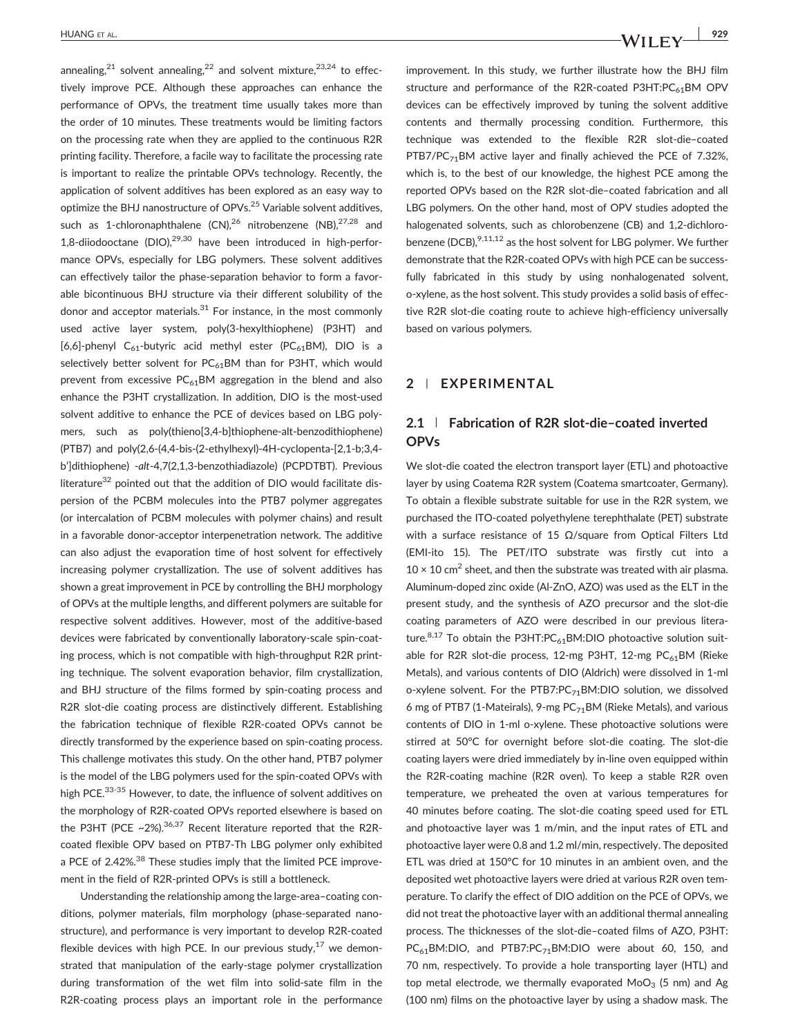annealing, $21$  solvent annealing, $22$  and solvent mixture, $23,24$  to effectively improve PCE. Although these approaches can enhance the performance of OPVs, the treatment time usually takes more than the order of 10 minutes. These treatments would be limiting factors on the processing rate when they are applied to the continuous R2R printing facility. Therefore, a facile way to facilitate the processing rate is important to realize the printable OPVs technology. Recently, the application of solvent additives has been explored as an easy way to optimize the BHJ nanostructure of OPVs.<sup>25</sup> Variable solvent additives. such as 1-chloronaphthalene  $(CN)$ , <sup>26</sup> nitrobenzene  $(NB)$ , <sup>27,28</sup> and 1,8-diiodooctane (DIO), $29,30$  have been introduced in high-performance OPVs, especially for LBG polymers. These solvent additives can effectively tailor the phase‐separation behavior to form a favorable bicontinuous BHJ structure via their different solubility of the donor and acceptor materials. $31$  For instance, in the most commonly used active layer system, poly(3‐hexylthiophene) (P3HT) and [6,6]-phenyl C<sub>61</sub>-butyric acid methyl ester (PC<sub>61</sub>BM), DIO is a selectively better solvent for  $PC_{61}$ BM than for P3HT, which would prevent from excessive  $PC_{61}$ BM aggregation in the blend and also enhance the P3HT crystallization. In addition, DIO is the most‐used solvent additive to enhance the PCE of devices based on LBG polymers, such as poly(thieno[3,4‐b]thiophene‐alt‐benzodithiophene) (PTB7) and poly(2,6‐(4,4‐bis‐(2‐ethylhexyl)‐4H‐cyclopenta‐[2,1‐b;3,4‐ b']dithiophene) ‐alt‐4,7(2,1,3‐benzothiadiazole) (PCPDTBT). Previous literature<sup>32</sup> pointed out that the addition of DIO would facilitate dispersion of the PCBM molecules into the PTB7 polymer aggregates (or intercalation of PCBM molecules with polymer chains) and result in a favorable donor‐acceptor interpenetration network. The additive can also adjust the evaporation time of host solvent for effectively increasing polymer crystallization. The use of solvent additives has shown a great improvement in PCE by controlling the BHJ morphology of OPVs at the multiple lengths, and different polymers are suitable for respective solvent additives. However, most of the additive‐based devices were fabricated by conventionally laboratory‐scale spin‐coating process, which is not compatible with high-throughput R2R printing technique. The solvent evaporation behavior, film crystallization, and BHJ structure of the films formed by spin‐coating process and R2R slot-die coating process are distinctively different. Establishing the fabrication technique of flexible R2R‐coated OPVs cannot be directly transformed by the experience based on spin‐coating process. This challenge motivates this study. On the other hand, PTB7 polymer is the model of the LBG polymers used for the spin‐coated OPVs with high PCE.<sup>33-35</sup> However, to date, the influence of solvent additives on the morphology of R2R‐coated OPVs reported elsewhere is based on the P3HT (PCE ~2%).<sup>36,37</sup> Recent literature reported that the R2Rcoated flexible OPV based on PTB7‐Th LBG polymer only exhibited a PCE of 2.42%.<sup>38</sup> These studies imply that the limited PCE improvement in the field of R2R‐printed OPVs is still a bottleneck.

Understanding the relationship among the large‐area–coating conditions, polymer materials, film morphology (phase‐separated nanostructure), and performance is very important to develop R2R‐coated flexible devices with high PCE. In our previous study, $17$  we demonstrated that manipulation of the early‐stage polymer crystallization during transformation of the wet film into solid‐sate film in the R2R-coating process plays an important role in the performance

improvement. In this study, we further illustrate how the BHJ film structure and performance of the R2R-coated P3HT:PC<sub>61</sub>BM OPV devices can be effectively improved by tuning the solvent additive contents and thermally processing condition. Furthermore, this technique was extended to the flexible R2R slot‐die–coated PTB7/PC<sub>71</sub>BM active layer and finally achieved the PCE of 7.32%, which is, to the best of our knowledge, the highest PCE among the reported OPVs based on the R2R slot‐die–coated fabrication and all LBG polymers. On the other hand, most of OPV studies adopted the halogenated solvents, such as chlorobenzene (CB) and 1,2-dichlorobenzene (DCB), <sup>9,11,12</sup> as the host solvent for LBG polymer. We further demonstrate that the R2R‐coated OPVs with high PCE can be successfully fabricated in this study by using nonhalogenated solvent, o‐xylene, as the host solvent. This study provides a solid basis of effective R2R slot‐die coating route to achieve high‐efficiency universally based on various polymers.

## 2 | EXPERIMENTAL

## 2.1 | Fabrication of R2R slot‐die–coated inverted **OPVs**

We slot-die coated the electron transport layer (ETL) and photoactive layer by using Coatema R2R system (Coatema smartcoater, Germany). To obtain a flexible substrate suitable for use in the R2R system, we purchased the ITO‐coated polyethylene terephthalate (PET) substrate with a surface resistance of 15  $\Omega$ /square from Optical Filters Ltd (EMI‐ito 15). The PET/ITO substrate was firstly cut into a  $10 \times 10$  cm<sup>2</sup> sheet, and then the substrate was treated with air plasma. Aluminum‐doped zinc oxide (Al‐ZnO, AZO) was used as the ELT in the present study, and the synthesis of AZO precursor and the slot‐die coating parameters of AZO were described in our previous literature.<sup>8,17</sup> To obtain the P3HT:PC<sub>61</sub>BM:DIO photoactive solution suitable for R2R slot-die process, 12-mg P3HT, 12-mg PC<sub>61</sub>BM (Rieke Metals), and various contents of DIO (Aldrich) were dissolved in 1‐ml o-xylene solvent. For the PTB7:PC<sub>71</sub>BM:DIO solution, we dissolved 6 mg of PTB7 (1-Mateirals), 9-mg  $PC_{71}$ BM (Rieke Metals), and various contents of DIO in 1-ml o-xylene. These photoactive solutions were stirred at 50°C for overnight before slot-die coating. The slot-die coating layers were dried immediately by in‐line oven equipped within the R2R‐coating machine (R2R oven). To keep a stable R2R oven temperature, we preheated the oven at various temperatures for 40 minutes before coating. The slot-die coating speed used for ETL and photoactive layer was 1 m/min, and the input rates of ETL and photoactive layer were 0.8 and 1.2 ml/min, respectively. The deposited ETL was dried at 150°C for 10 minutes in an ambient oven, and the deposited wet photoactive layers were dried at various R2R oven temperature. To clarify the effect of DIO addition on the PCE of OPVs, we did not treat the photoactive layer with an additional thermal annealing process. The thicknesses of the slot‐die–coated films of AZO, P3HT: PC<sub>61</sub>BM:DIO, and PTB7:PC<sub>71</sub>BM:DIO were about 60, 150, and 70 nm, respectively. To provide a hole transporting layer (HTL) and top metal electrode, we thermally evaporated  $MoO<sub>3</sub>$  (5 nm) and Ag (100 nm) films on the photoactive layer by using a shadow mask. The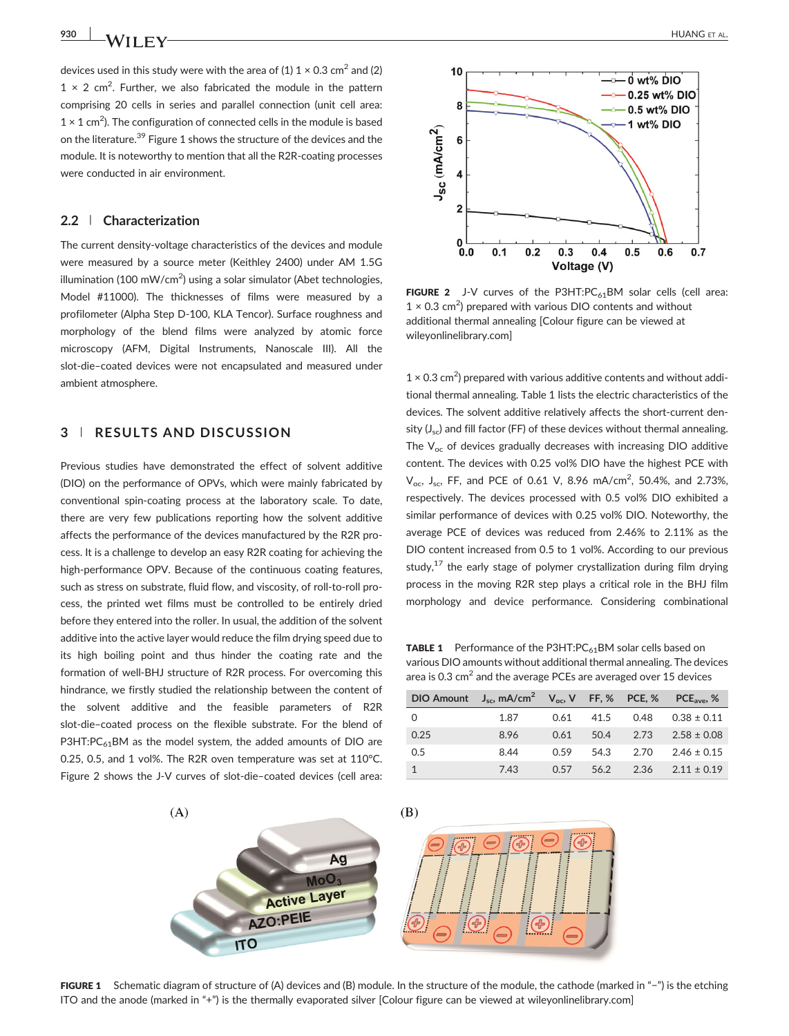devices used in this study were with the area of (1)  $1 \times 0.3$  cm<sup>2</sup> and (2)  $1 \times 2$  cm<sup>2</sup>. Further, we also fabricated the module in the pattern comprising 20 cells in series and parallel connection (unit cell area:  $1 \times 1$  cm<sup>2</sup>). The configuration of connected cells in the module is based on the literature.<sup>39</sup> Figure 1 shows the structure of the devices and the module. It is noteworthy to mention that all the R2R‐coating processes were conducted in air environment.

#### 2.2 | Characterization

The current density‐voltage characteristics of the devices and module were measured by a source meter (Keithley 2400) under AM 1.5G illumination (100 mW/cm<sup>2</sup>) using a solar simulator (Abet technologies, Model #11000). The thicknesses of films were measured by a profilometer (Alpha Step D‐100, KLA Tencor). Surface roughness and morphology of the blend films were analyzed by atomic force microscopy (AFM, Digital Instruments, Nanoscale III). All the slot-die-coated devices were not encapsulated and measured under ambient atmosphere.

## 3 | RESULTS AND DISCUSSION

Previous studies have demonstrated the effect of solvent additive (DIO) on the performance of OPVs, which were mainly fabricated by conventional spin‐coating process at the laboratory scale. To date, there are very few publications reporting how the solvent additive affects the performance of the devices manufactured by the R2R process. It is a challenge to develop an easy R2R coating for achieving the high-performance OPV. Because of the continuous coating features, such as stress on substrate, fluid flow, and viscosity, of roll-to-roll process, the printed wet films must be controlled to be entirely dried before they entered into the roller. In usual, the addition of the solvent additive into the active layer would reduce the film drying speed due to its high boiling point and thus hinder the coating rate and the formation of well‐BHJ structure of R2R process. For overcoming this hindrance, we firstly studied the relationship between the content of the solvent additive and the feasible parameters of R2R slot-die-coated process on the flexible substrate. For the blend of P3HT: $PC_{61}$ BM as the model system, the added amounts of DIO are 0.25, 0.5, and 1 vol%. The R2R oven temperature was set at 110°C. Figure 2 shows the J-V curves of slot-die-coated devices (cell area:



FIGURE 2 J-V curves of the P3HT: $PC_{61}$ BM solar cells (cell area:  $1 \times 0.3$  cm<sup>2</sup>) prepared with various DIO contents and without additional thermal annealing [Colour figure can be viewed at [wileyonlinelibrary.com](http://wileyonlinelibrary.com)]

 $1 \times 0.3$  cm<sup>2</sup>) prepared with various additive contents and without additional thermal annealing. Table 1 lists the electric characteristics of the devices. The solvent additive relatively affects the short‐current density  $(J_{\rm sc})$  and fill factor (FF) of these devices without thermal annealing. The  $V_{\text{oc}}$  of devices gradually decreases with increasing DIO additive content. The devices with 0.25 vol% DIO have the highest PCE with  $V_{\text{oc}}$ , J<sub>sc</sub>, FF, and PCE of 0.61 V, 8.96 mA/cm<sup>2</sup>, 50.4%, and 2.73%, respectively. The devices processed with 0.5 vol% DIO exhibited a similar performance of devices with 0.25 vol% DIO. Noteworthy, the average PCE of devices was reduced from 2.46% to 2.11% as the DIO content increased from 0.5 to 1 vol%. According to our previous study, $17$  the early stage of polymer crystallization during film drying process in the moving R2R step plays a critical role in the BHJ film morphology and device performance. Considering combinational

**TABLE 1** Performance of the P3HT: $PC_{61}$ BM solar cells based on various DIO amounts without additional thermal annealing. The devices area is  $0.3 \text{ cm}^2$  and the average PCEs are averaged over 15 devices

|              | DIO Amount $J_{sc}$ , mA/cm <sup>2</sup> $V_{oc}$ , V FF, % PCE, % PCE <sub>ave</sub> , % |      |      |           |                 |
|--------------|-------------------------------------------------------------------------------------------|------|------|-----------|-----------------|
| 0            | 1.87                                                                                      | 0.61 |      | 41.5 0.48 | $0.38 \pm 0.11$ |
| 0.25         | 8.96                                                                                      | 0.61 |      | 50.4 2.73 | $2.58 \pm 0.08$ |
| 0.5          | 8.44                                                                                      | 0.59 | 54.3 | 2.70      | $2.46 \pm 0.15$ |
| $\mathbf{1}$ | 7.43                                                                                      | 0.57 | 56.2 | 2.36      | $2.11 \pm 0.19$ |



FIGURE 1 Schematic diagram of structure of (A) devices and (B) module. In the structure of the module, the cathode (marked in "−") is the etching ITO and the anode (marked in "+") is the thermally evaporated silver [Colour figure can be viewed at [wileyonlinelibrary.com](http://wileyonlinelibrary.com)]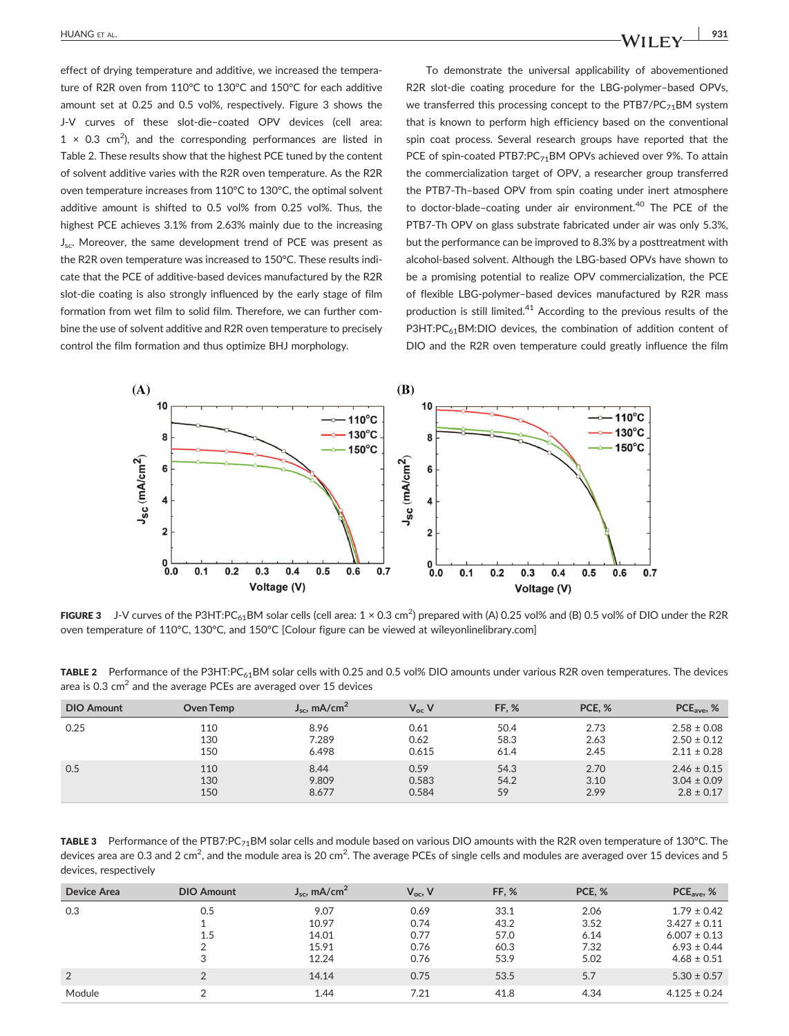effect of drying temperature and additive, we increased the temperature of R2R oven from 110°C to 130°C and 150°C for each additive amount set at 0.25 and 0.5 vol%, respectively. Figure 3 shows the J‐V curves of these slot‐die–coated OPV devices (cell area:  $1 \times 0.3$  cm<sup>2</sup>), and the corresponding performances are listed in Table 2. These results show that the highest PCE tuned by the content of solvent additive varies with the R2R oven temperature. As the R2R oven temperature increases from 110°C to 130°C, the optimal solvent additive amount is shifted to 0.5 vol% from 0.25 vol%. Thus, the highest PCE achieves 3.1% from 2.63% mainly due to the increasing J<sub>sc</sub>. Moreover, the same development trend of PCE was present as the R2R oven temperature was increased to 150°C. These results indicate that the PCE of additive‐based devices manufactured by the R2R slot-die coating is also strongly influenced by the early stage of film formation from wet film to solid film. Therefore, we can further combine the use of solvent additive and R2R oven temperature to precisely control the film formation and thus optimize BHJ morphology.

To demonstrate the universal applicability of abovementioned R2R slot-die coating procedure for the LBG-polymer-based OPVs, we transferred this processing concept to the  $PTB7/PC_{71}BM$  system that is known to perform high efficiency based on the conventional spin coat process. Several research groups have reported that the PCE of spin-coated PTB7:PC<sub>71</sub>BM OPVs achieved over 9%. To attain the commercialization target of OPV, a researcher group transferred the PTB7‐Th–based OPV from spin coating under inert atmosphere to doctor-blade-coating under air environment.<sup>40</sup> The PCE of the PTB7‐Th OPV on glass substrate fabricated under air was only 5.3%, but the performance can be improved to 8.3% by a posttreatment with alcohol‐based solvent. Although the LBG‐based OPVs have shown to be a promising potential to realize OPV commercialization, the PCE of flexible LBG‐polymer–based devices manufactured by R2R mass production is still limited.<sup>41</sup> According to the previous results of the P3HT:PC<sub>61</sub>BM:DIO devices, the combination of addition content of DIO and the R2R oven temperature could greatly influence the film



FIGURE 3  $\:$  J-V curves of the P3HT:PC $_{61}$ BM solar cells (cell area: 1  $\times$  0.3 cm $^2$ ) prepared with (A) 0.25 vol% and (B) 0.5 vol% of DIO under the R2R oven temperature of 110°C, 130°C, and 150°C [Colour figure can be viewed at [wileyonlinelibrary.com\]](http://wileyonlinelibrary.com)

TABLE 2 Performance of the P3HT:PC $_{61}$ BM solar cells with 0.25 and 0.5 vol% DIO amounts under various R2R oven temperatures. The devices area is 0.3  $\text{cm}^2$  and the average PCEs are averaged over 15 devices

| <b>DIO Amount</b> | Oven Temp | $J_{\rm sc}$ , mA/cm <sup>2</sup> | $V_{\rm oc}$ V | <b>FF. %</b> | PCE, % | $PCEave$ , %    |
|-------------------|-----------|-----------------------------------|----------------|--------------|--------|-----------------|
| 0.25              | 110       | 8.96                              | 0.61           | 50.4         | 2.73   | $2.58 \pm 0.08$ |
|                   | 130       | 7.289                             | 0.62           | 58.3         | 2.63   | $2.50 \pm 0.12$ |
|                   | 150       | 6.498                             | 0.615          | 61.4         | 2.45   | $2.11 \pm 0.28$ |
| 0.5               | 110       | 8.44                              | 0.59           | 54.3         | 2.70   | $2.46 \pm 0.15$ |
|                   | 130       | 9.809                             | 0.583          | 54.2         | 3.10   | $3.04 \pm 0.09$ |
|                   | 150       | 8.677                             | 0.584          | 59           | 2.99   | $2.8 \pm 0.17$  |

TABLE 3 Performance of the PTB7:PC<sub>71</sub>BM solar cells and module based on various DIO amounts with the R2R oven temperature of 130°C. The devices area are 0.3 and 2 cm<sup>2</sup>, and the module area is 20 cm<sup>2</sup>. The average PCEs of single cells and modules are averaged over 15 devices and 5 devices, respectively

| Device Area | <b>DIO Amount</b> | $J_{\rm sc}$ , mA/cm <sup>2</sup> | $V_{\rm oc}$ , V | <b>FF. %</b> | PCE, % | $PCEave$ , %     |
|-------------|-------------------|-----------------------------------|------------------|--------------|--------|------------------|
| 0.3         | 0.5               | 9.07                              | 0.69             | 33.1         | 2.06   | $1.79 \pm 0.42$  |
|             |                   | 10.97                             | 0.74             | 43.2         | 3.52   | $3.427 \pm 0.11$ |
|             | 1.5               | 14.01                             | 0.77             | 57.0         | 6.14   | $6.007 \pm 0.13$ |
|             | ◠                 | 15.91                             | 0.76             | 60.3         | 7.32   | $6.93 \pm 0.44$  |
|             | 3                 | 12.24                             | 0.76             | 53.9         | 5.02   | $4.68 \pm 0.51$  |
| 2           | C                 | 14.14                             | 0.75             | 53.5         | 5.7    | $5.30 \pm 0.57$  |
| Module      |                   | 1.44                              | 7.21             | 41.8         | 4.34   | $4.125 \pm 0.24$ |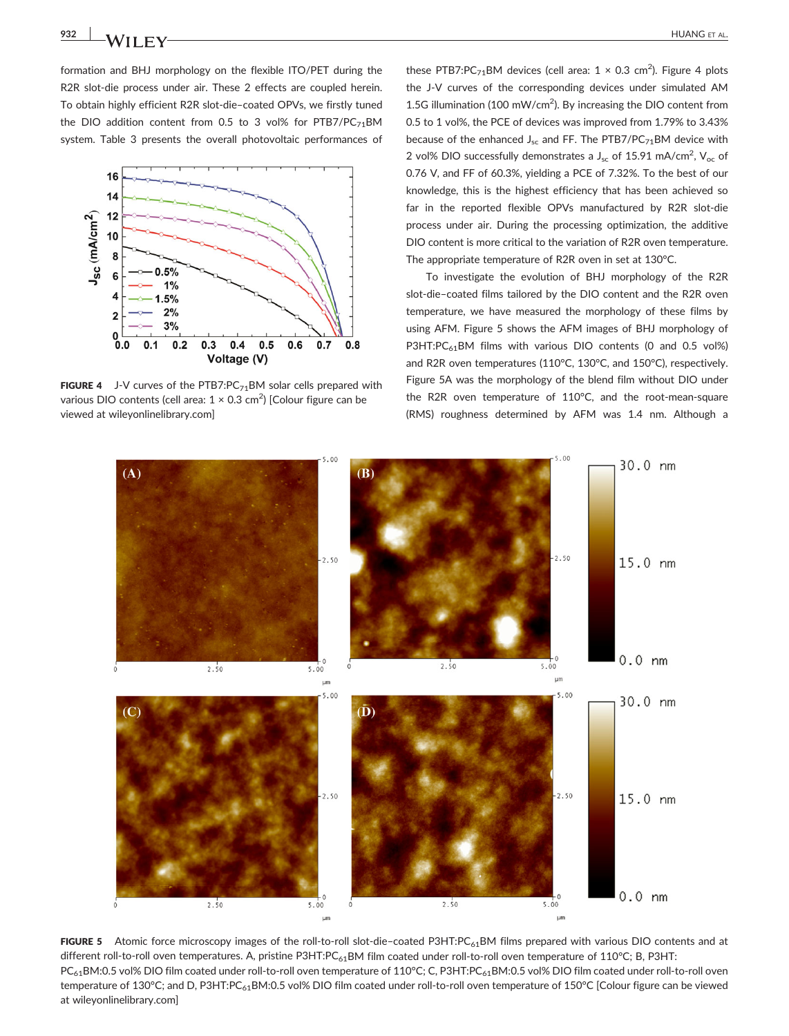formation and BHJ morphology on the flexible ITO/PET during the R2R slot-die process under air. These 2 effects are coupled herein. To obtain highly efficient R2R slot‐die–coated OPVs, we firstly tuned the DIO addition content from 0.5 to 3 vol% for  $PTB7/PC_{71}BM$ system. Table 3 presents the overall photovoltaic performances of



**FIGURE 4** J-V curves of the PTB7:PC $_{71}$ BM solar cells prepared with various DIO contents (cell area:  $1 \times 0.3$  cm<sup>2</sup>) [Colour figure can be viewed at [wileyonlinelibrary.com\]](http://wileyonlinelibrary.com)

these PTB7:PC<sub>71</sub>BM devices (cell area:  $1 \times 0.3$  cm<sup>2</sup>). Figure 4 plots the J-V curves of the corresponding devices under simulated AM 1.5G illumination (100 mW/cm<sup>2</sup>). By increasing the DIO content from 0.5 to 1 vol%, the PCE of devices was improved from 1.79% to 3.43% because of the enhanced  $J_{sc}$  and FF. The PTB7/PC<sub>71</sub>BM device with 2 vol% DIO successfully demonstrates a  $J_{sc}$  of 15.91 mA/cm<sup>2</sup>, V<sub>oc</sub> of 0.76 V, and FF of 60.3%, yielding a PCE of 7.32%. To the best of our knowledge, this is the highest efficiency that has been achieved so far in the reported flexible OPVs manufactured by R2R slot‐die process under air. During the processing optimization, the additive DIO content is more critical to the variation of R2R oven temperature. The appropriate temperature of R2R oven in set at 130°C.

To investigate the evolution of BHJ morphology of the R2R slot-die-coated films tailored by the DIO content and the R2R oven temperature, we have measured the morphology of these films by using AFM. Figure 5 shows the AFM images of BHJ morphology of P3HT:PC $_{61}$ BM films with various DIO contents (0 and 0.5 vol%) and R2R oven temperatures (110°C, 130°C, and 150°C), respectively. Figure 5A was the morphology of the blend film without DIO under the R2R oven temperature of 110°C, and the root-mean-square (RMS) roughness determined by AFM was 1.4 nm. Although a



FIGURE 5 Atomic force microscopy images of the roll-to-roll slot-die-coated P3HT:PC<sub>61</sub>BM films prepared with various DIO contents and at different roll-to-roll oven temperatures. A, pristine P3HT:PC<sub>61</sub>BM film coated under roll-to-roll oven temperature of 110°C; B, P3HT: PC<sub>61</sub>BM:0.5 vol% DIO film coated under roll-to-roll oven temperature of 110°C; C, P3HT:PC<sub>61</sub>BM:0.5 vol% DIO film coated under roll-to-roll oven temperature of 130°C; and D, P3HT:PC<sub>61</sub>BM:0.5 vol% DIO film coated under roll-to-roll oven temperature of 150°C [Colour figure can be viewed at [wileyonlinelibrary.com](http://wileyonlinelibrary.com)]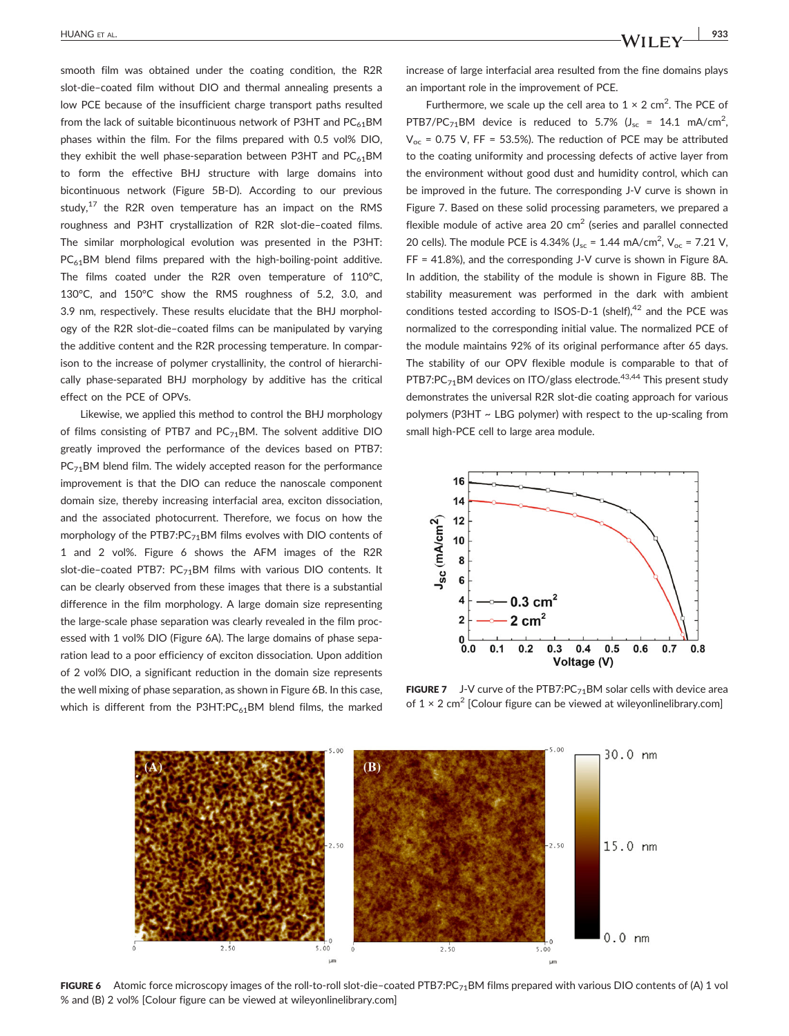smooth film was obtained under the coating condition, the R2R slot-die-coated film without DIO and thermal annealing presents a low PCE because of the insufficient charge transport paths resulted from the lack of suitable bicontinuous network of P3HT and  $PC_{61}$ BM phases within the film. For the films prepared with 0.5 vol% DIO, they exhibit the well phase-separation between P3HT and  $PC_{41}$ BM to form the effective BHJ structure with large domains into bicontinuous network (Figure 5B‐D). According to our previous study, $17$  the R2R oven temperature has an impact on the RMS roughness and P3HT crystallization of R2R slot‐die–coated films. The similar morphological evolution was presented in the P3HT:  $PC_{61}$ BM blend films prepared with the high-boiling-point additive. The films coated under the R2R oven temperature of 110°C, 130°C, and 150°C show the RMS roughness of 5.2, 3.0, and 3.9 nm, respectively. These results elucidate that the BHJ morphology of the R2R slot‐die–coated films can be manipulated by varying the additive content and the R2R processing temperature. In comparison to the increase of polymer crystallinity, the control of hierarchically phase‐separated BHJ morphology by additive has the critical effect on the PCE of OPVs.

Likewise, we applied this method to control the BHJ morphology of films consisting of PTB7 and  $PC_{71}$ BM. The solvent additive DIO greatly improved the performance of the devices based on PTB7:  $PC_{71}$ BM blend film. The widely accepted reason for the performance improvement is that the DIO can reduce the nanoscale component domain size, thereby increasing interfacial area, exciton dissociation, and the associated photocurrent. Therefore, we focus on how the morphology of the PTB7:PC<sub>71</sub>BM films evolves with DIO contents of 1 and 2 vol%. Figure 6 shows the AFM images of the R2R slot-die–coated PTB7:  $PC_{71}$ BM films with various DIO contents. It can be clearly observed from these images that there is a substantial difference in the film morphology. A large domain size representing the large‐scale phase separation was clearly revealed in the film processed with 1 vol% DIO (Figure 6A). The large domains of phase separation lead to a poor efficiency of exciton dissociation. Upon addition of 2 vol% DIO, a significant reduction in the domain size represents the well mixing of phase separation, as shown in Figure 6B. In this case, which is different from the P3HT: $PC_{61}$ BM blend films, the marked increase of large interfacial area resulted from the fine domains plays an important role in the improvement of PCE.

Furthermore, we scale up the cell area to  $1 \times 2$  cm<sup>2</sup>. The PCE of PTB7/PC<sub>71</sub>BM device is reduced to 5.7% ( $J_{\text{sc}}$  = 14.1 mA/cm<sup>2</sup>,  $V_{\text{oc}}$  = 0.75 V, FF = 53.5%). The reduction of PCE may be attributed to the coating uniformity and processing defects of active layer from the environment without good dust and humidity control, which can be improved in the future. The corresponding J‐V curve is shown in Figure 7. Based on these solid processing parameters, we prepared a flexible module of active area 20  $\text{cm}^2$  (series and parallel connected 20 cells). The module PCE is 4.34%  $(J_{\rm sc} = 1.44 \text{ mA/cm}^2, V_{\rm oc} = 7.21 \text{ V},$ FF = 41.8%), and the corresponding J‐V curve is shown in Figure 8A. In addition, the stability of the module is shown in Figure 8B. The stability measurement was performed in the dark with ambient conditions tested according to ISOS-D-1 (shelf), $42$  and the PCE was normalized to the corresponding initial value. The normalized PCE of the module maintains 92% of its original performance after 65 days. The stability of our OPV flexible module is comparable to that of PTB7:PC $_{71}$ BM devices on ITO/glass electrode.<sup>43,44</sup> This present study demonstrates the universal R2R slot‐die coating approach for various polymers (P3HT ~ LBG polymer) with respect to the up-scaling from small high‐PCE cell to large area module.



**FIGURE 7** J-V curve of the PTB7:PC $_{71}$ BM solar cells with device area of  $1 \times 2$  cm<sup>2</sup> [Colour figure can be viewed at [wileyonlinelibrary.com](http://wileyonlinelibrary.com)]



FIGURE 6 Atomic force microscopy images of the roll-to-roll slot-die-coated PTB7:PC<sub>71</sub>BM films prepared with various DIO contents of (A) 1 vol % and (B) 2 vol% [Colour figure can be viewed at [wileyonlinelibrary.com](http://wileyonlinelibrary.com)]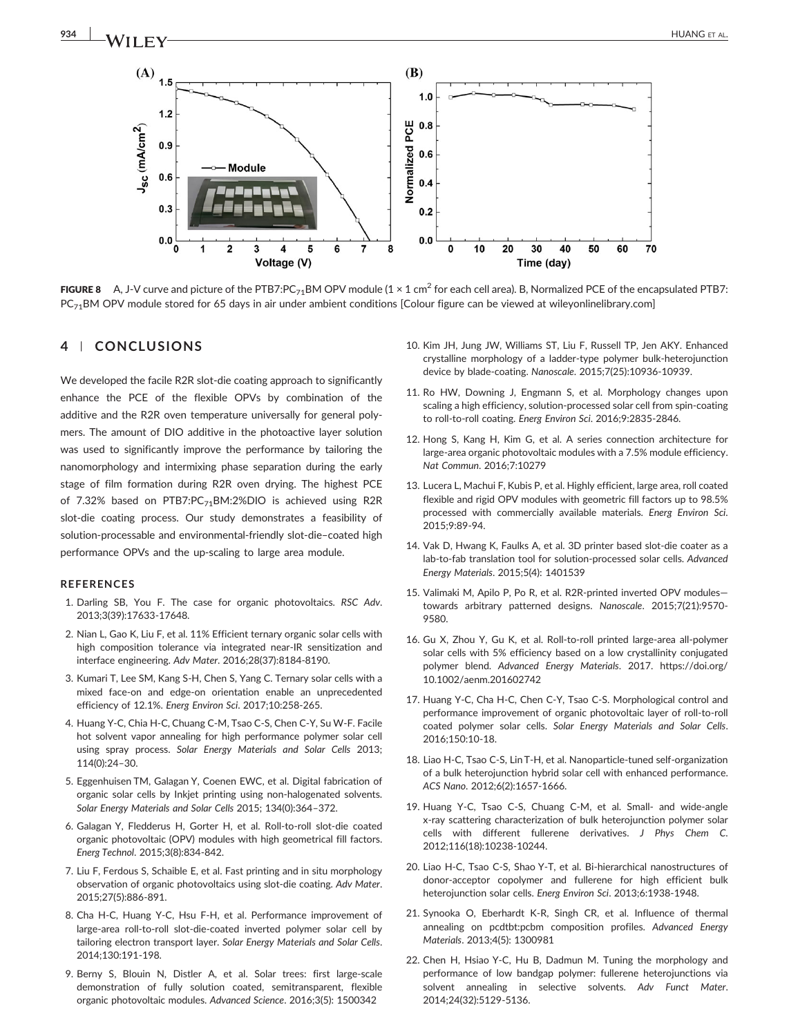

**FIGURE 8** A, J-V curve and picture of the PTB7:PC<sub>71</sub>BM OPV module  $(1 \times 1 \text{ cm}^2 \text{ for each cell area})$ . B, Normalized PCE of the encapsulated PTB7: PC<sub>71</sub>BM OPV module stored for 65 days in air under ambient conditions [Colour figure can be viewed at [wileyonlinelibrary.com](http://wileyonlinelibrary.com)]

#### 4 | CONCLUSIONS

We developed the facile R2R slot-die coating approach to significantly enhance the PCE of the flexible OPVs by combination of the additive and the R2R oven temperature universally for general polymers. The amount of DIO additive in the photoactive layer solution was used to significantly improve the performance by tailoring the nanomorphology and intermixing phase separation during the early stage of film formation during R2R oven drying. The highest PCE of 7.32% based on PTB7:PC<sub>71</sub>BM:2%DIO is achieved using R2R slot-die coating process. Our study demonstrates a feasibility of solution-processable and environmental-friendly slot-die-coated high performance OPVs and the up‐scaling to large area module.

#### REFERENCES

- 1. Darling SB, You F. The case for organic photovoltaics. RSC Adv. 2013;3(39):17633‐17648.
- 2. Nian L, Gao K, Liu F, et al. 11% Efficient ternary organic solar cells with high composition tolerance via integrated near‐IR sensitization and interface engineering. Adv Mater. 2016;28(37):8184‐8190.
- 3. Kumari T, Lee SM, Kang S‐H, Chen S, Yang C. Ternary solar cells with a mixed face‐on and edge‐on orientation enable an unprecedented efficiency of 12.1%. Energ Environ Sci. 2017;10:258‐265.
- 4. Huang Y‐C, Chia H‐C, Chuang C‐M, Tsao C‐S, Chen C‐Y, Su W‐F. Facile hot solvent vapor annealing for high performance polymer solar cell using spray process. Solar Energy Materials and Solar Cells 2013; 114(0):24–30.
- 5. Eggenhuisen TM, Galagan Y, Coenen EWC, et al. Digital fabrication of organic solar cells by Inkjet printing using non‐halogenated solvents. Solar Energy Materials and Solar Cells 2015; 134(0):364–372.
- 6. Galagan Y, Fledderus H, Gorter H, et al. Roll‐to‐roll slot‐die coated organic photovoltaic (OPV) modules with high geometrical fill factors. Energ Technol. 2015;3(8):834‐842.
- 7. Liu F, Ferdous S, Schaible E, et al. Fast printing and in situ morphology observation of organic photovoltaics using slot‐die coating. Adv Mater. 2015;27(5):886‐891.
- 8. Cha H‐C, Huang Y‐C, Hsu F‐H, et al. Performance improvement of large‐area roll‐to‐roll slot‐die‐coated inverted polymer solar cell by tailoring electron transport layer. Solar Energy Materials and Solar Cells. 2014;130:191‐198.
- 9. Berny S, Blouin N, Distler A, et al. Solar trees: first large-scale demonstration of fully solution coated, semitransparent, flexible organic photovoltaic modules. Advanced Science. 2016;3(5): 1500342
- 10. Kim JH, Jung JW, Williams ST, Liu F, Russell TP, Jen AKY. Enhanced crystalline morphology of a ladder‐type polymer bulk‐heterojunction device by blade‐coating. Nanoscale. 2015;7(25):10936‐10939.
- 11. Ro HW, Downing J, Engmann S, et al. Morphology changes upon scaling a high efficiency, solution‐processed solar cell from spin‐coating to roll‐to‐roll coating. Energ Environ Sci. 2016;9:2835‐2846.
- 12. Hong S, Kang H, Kim G, et al. A series connection architecture for large‐area organic photovoltaic modules with a 7.5% module efficiency. Nat Commun. 2016;7:10279
- 13. Lucera L, Machui F, Kubis P, et al. Highly efficient, large area, roll coated flexible and rigid OPV modules with geometric fill factors up to 98.5% processed with commercially available materials. Energ Environ Sci. 2015;9:89‐94.
- 14. Vak D, Hwang K, Faulks A, et al. 3D printer based slot‐die coater as a lab-to-fab translation tool for solution-processed solar cells. Advanced Energy Materials. 2015;5(4): 1401539
- 15. Valimaki M, Apilo P, Po R, et al. R2R‐printed inverted OPV modules towards arbitrary patterned designs. Nanoscale. 2015;7(21):9570‐ 9580.
- 16. Gu X, Zhou Y, Gu K, et al. Roll-to-roll printed large-area all-polymer solar cells with 5% efficiency based on a low crystallinity conjugated polymer blend. Advanced Energy Materials. 2017. [https://doi.org/](https://doi.org/10.1002/aenm.201602742) [10.1002/aenm.201602742](https://doi.org/10.1002/aenm.201602742)
- 17. Huang Y‐C, Cha H‐C, Chen C‐Y, Tsao C‐S. Morphological control and performance improvement of organic photovoltaic layer of roll‐to‐roll coated polymer solar cells. Solar Energy Materials and Solar Cells. 2016;150:10‐18.
- 18. Liao H‐C, Tsao C‐S, Lin T‐H, et al. Nanoparticle‐tuned self‐organization of a bulk heterojunction hybrid solar cell with enhanced performance. ACS Nano. 2012;6(2):1657‐1666.
- 19. Huang Y‐C, Tsao C‐S, Chuang C‐M, et al. Small‐ and wide‐angle x‐ray scattering characterization of bulk heterojunction polymer solar cells with different fullerene derivatives. J Phys Chem C. 2012;116(18):10238‐10244.
- 20. Liao H‐C, Tsao C‐S, Shao Y‐T, et al. Bi‐hierarchical nanostructures of donor‐acceptor copolymer and fullerene for high efficient bulk heterojunction solar cells. Energ Environ Sci. 2013;6:1938‐1948.
- 21. Synooka O, Eberhardt K‐R, Singh CR, et al. Influence of thermal annealing on pcdtbt:pcbm composition profiles. Advanced Energy Materials. 2013;4(5): 1300981
- 22. Chen H, Hsiao Y‐C, Hu B, Dadmun M. Tuning the morphology and performance of low bandgap polymer: fullerene heterojunctions via solvent annealing in selective solvents. Adv Funct Mater. 2014;24(32):5129‐5136.